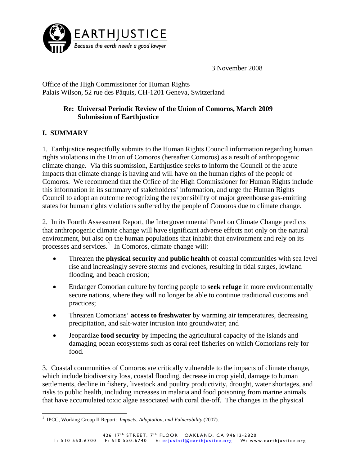

3 November 2008

Office of the High Commissioner for Human Rights Palais Wilson, 52 rue des Pâquis, CH-1201 Geneva, Switzerland

### **Re: Universal Periodic Review of the Union of Comoros, March 2009 Submission of Earthjustice**

# **I. SUMMARY**

1. Earthjustice respectfully submits to the Human Rights Council information regarding human rights violations in the Union of Comoros (hereafter Comoros) as a result of anthropogenic climate change. Via this submission, Earthjustice seeks to inform the Council of the acute impacts that climate change is having and will have on the human rights of the people of Comoros. We recommend that the Office of the High Commissioner for Human Rights include this information in its summary of stakeholders' information, and urge the Human Rights Council to adopt an outcome recognizing the responsibility of major greenhouse gas-emitting states for human rights violations suffered by the people of Comoros due to climate change.

2. In its Fourth Assessment Report, the Intergovernmental Panel on Climate Change predicts that anthropogenic climate change will have significant adverse effects not only on the natural environment, but also on the human populations that inhabit that environment and rely on its processes and services.<sup>[1](#page-0-0)</sup> In Comoros, climate change will:

- Threaten the **physical security** and **public health** of coastal communities with sea level rise and increasingly severe storms and cyclones, resulting in tidal surges, lowland flooding, and beach erosion;
- Endanger Comorian culture by forcing people to **seek refuge** in more environmentally secure nations, where they will no longer be able to continue traditional customs and practices;
- Threaten Comorians' **access to freshwater** by warming air temperatures, decreasing precipitation, and salt-water intrusion into groundwater; and
- Jeopardize **food security** by impeding the agricultural capacity of the islands and damaging ocean ecosystems such as coral reef fisheries on which Comorians rely for food.

3. Coastal communities of Comoros are critically vulnerable to the impacts of climate change, which include biodiversity loss, coastal flooding, decrease in crop yield, damage to human settlements, decline in fishery, livestock and poultry productivity, drought, water shortages, and risks to public health, including increases in malaria and food poisoning from marine animals that have accumulated toxic algae associated with coral die-off. The changes in the physical

<span id="page-0-0"></span> $\overline{a}$ <sup>1</sup> IPCC, Working Group II Report: *Impacts, Adaptation, and Vulnerability* (2007).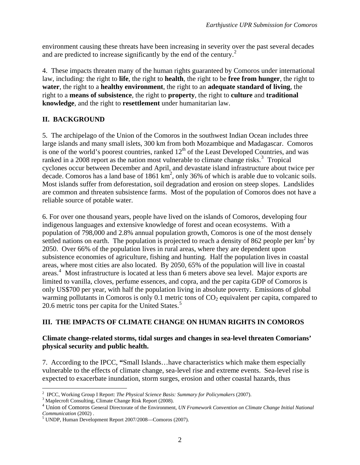environment causing these threats have been increasing in severity over the past several decades and are predicted to increase significantly by the end of the century.<sup>[2](#page-1-0)</sup>

4. These impacts threaten many of the human rights guaranteed by Comoros under international law, including: the right to **life**, the right to **health**, the right to be **free from hunger**, the right to **water**, the right to a **healthy environment**, the right to an **adequate standard of living**, the right to a **means of subsistence**, the right to **property**, the right to **culture** and **traditional knowledge**, and the right to **resettlement** under humanitarian law.

# **II. BACKGROUND**

5. The archipelago of the Union of the Comoros in the southwest Indian Ocean includes three large islands and many small islets, 300 km from both Mozambique and Madagascar. Comoros is one of the world's poorest countries, ranked  $12<sup>th</sup>$  of the Least Developed Countries, and was ranked in a 2008 report as the nation most vulnerable to climate change risks.<sup>[3](#page-1-1)</sup> Tropical cyclones occur between December and April, and devastate island infrastructure about twice per decade. Comoros has a land base of  $1861 \text{ km}^2$ , only 36% of which is arable due to volcanic soils. Most islands suffer from deforestation, soil degradation and erosion on steep slopes. Landslides are common and threaten subsistence farms. Most of the population of Comoros does not have a reliable source of potable water.

6. For over one thousand years, people have lived on the islands of Comoros, developing four indigenous languages and extensive knowledge of forest and ocean ecosystems. With a population of 798,000 and 2.8% annual population growth, Comoros is one of the most densely settled nations on earth. The population is projected to reach a density of 862 people per  $km^2$  by 2050. Over 66% of the population lives in rural areas, where they are dependent upon subsistence economies of agriculture, fishing and hunting. Half the population lives in coastal areas, where most cities are also located. By 2050, 65% of the population will live in coastal areas. [4](#page-1-2) Most infrastructure is located at less than 6 meters above sea level. Major exports are limited to vanilla, cloves, perfume essences, and copra, and the per capita GDP of Comoros is only US\$700 per year, with half the population living in absolute poverty. Emissions of global warming pollutants in Comoros is only 0.1 metric tons of  $CO<sub>2</sub>$  equivalent per capita, compared to 20.6 metric tons per capita for the United States.<sup>[5](#page-1-3)</sup>

# **III. THE IMPACTS OF CLIMATE CHANGE ON HUMAN RIGHTS IN COMOROS**

#### **Climate change-related storms, tidal surges and changes in sea-level threaten Comorians' physical security and public health.**

7. According to the IPCC, **"**Small Islands…have characteristics which make them especially vulnerable to the effects of climate change, sea-level rise and extreme events. Sea-level rise is expected to exacerbate inundation, storm surges, erosion and other coastal hazards, thus

<sup>&</sup>lt;sup>2</sup> IPCC, Working Group I Report: *The Physical Science Basis: Summary for Policymakers* (2007).

<span id="page-1-1"></span><span id="page-1-0"></span><sup>&</sup>lt;sup>3</sup> Maplecroft Consulting, Climate Change Risk Report (2008).

<span id="page-1-2"></span>Union of Comoros General Directorate of the Environment, *UN Framework Convention on Climate Change Initial National Communication* (2002).

<span id="page-1-3"></span>UNDP, Human Development Report 2007/2008—Comoros (2007).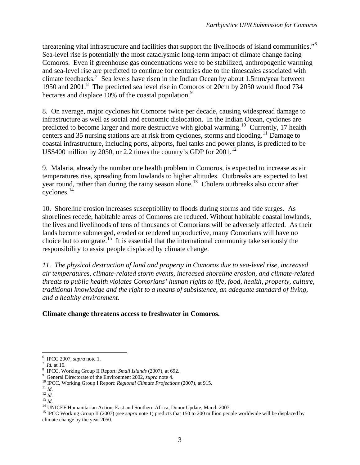threatening vital infrastructure and facilities that support the livelihoods of island communities."<sup>[6](#page-2-0)</sup> Sea-level rise is potentially the most cataclysmic long-term impact of climate change facing Comoros. Even if greenhouse gas concentrations were to be stabilized, anthropogenic warming and sea-level rise are predicted to continue for centuries due to the timescales associated with climate feedbacks.<sup>[7](#page-2-1)</sup> Sea levels have risen in the Indian Ocean by about 1.5mm/year between 1950 and 2001.<sup>[8](#page-2-2)</sup> The predicted sea level rise in Comoros of 20cm by 2050 would flood 734 hectares and displace 10% of the coastal population.<sup>[9](#page-2-3)</sup>

8. On average, major cyclones hit Comoros twice per decade, causing widespread damage to infrastructure as well as social and economic dislocation. In the Indian Ocean, cyclones are predicted to become larger and more destructive with global warming.<sup>[10](#page-2-4)</sup> Currently, 17 health centers and 35 nursing stations are at risk from cyclones, storms and flooding.[11](#page-2-5) Damage to coastal infrastructure, including ports, airports, fuel tanks and power plants, is predicted to be US\$400 million by 2050, or 2.2 times the country's GDP for 2001.<sup>[12](#page-2-6)</sup>

9. Malaria, already the number one health problem in Comoros, is expected to increase as air temperatures rise, spreading from lowlands to higher altitudes. Outbreaks are expected to last year round, rather than during the rainy season alone.<sup>[13](#page-2-7)</sup> Cholera outbreaks also occur after cyclones.[14](#page-2-8)

10. Shoreline erosion increases susceptibility to floods during storms and tide surges. As shorelines recede, habitable areas of Comoros are reduced. Without habitable coastal lowlands, the lives and livelihoods of tens of thousands of Comorians will be adversely affected. As their lands become submerged, eroded or rendered unproductive, many Comorians will have no choice but to emigrate.[15](#page-2-9) It is essential that the international community take seriously the responsibility to assist people displaced by climate change.

*11. The physical destruction of land and property in Comoros due to sea-level rise, increased air temperatures, climate-related storm events, increased shoreline erosion, and climate-related threats to public health violates Comorians' human rights to life, food, health, property, culture, traditional knowledge and the right to a means of subsistence, an adequate standard of living, and a healthy environment.* 

**Climate change threatens access to freshwater in Comoros.** 

 $\overline{a}$  $^{6}$  IPCC 2007, *supra* note 1.

<span id="page-2-1"></span><span id="page-2-0"></span><sup>&</sup>lt;sup>7</sup> *Id.* at 16. *Id.* at 16. *P* **Id.** at 16. *P* **Id. If If C COPP II Report:** *Small Islands* (2007), at 692.

<span id="page-2-4"></span><span id="page-2-3"></span><span id="page-2-2"></span><sup>&</sup>lt;sup>9</sup> General Directorate of the Environment 2002, *supra* note 4.<br><sup>10</sup> IPCC, Working Group I Report: *Regional Climate Projections* (2007), at 915.<br><sup>11</sup> Id.<br><sup>12</sup> Id.

<span id="page-2-5"></span>

<span id="page-2-9"></span>

<span id="page-2-8"></span><span id="page-2-7"></span><span id="page-2-6"></span><sup>&</sup>lt;sup>13</sup> *Id.*<br><sup>14</sup> UNICEF Humanitarian Action, East and Southern Africa, Donor Update, March 2007.<br><sup>15</sup> IPCC Working Group II (2007) (see *supra* note 1) predicts that 150 to 200 million people worldwide will be displaced by climate change by the year 2050.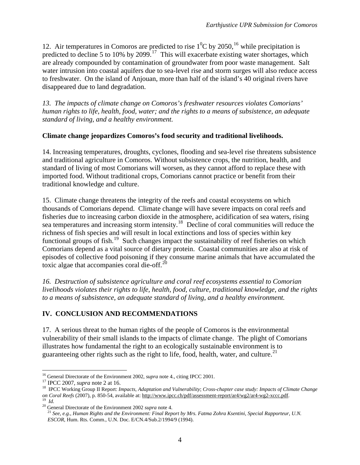12. Air temperatures in Comoros are predicted to rise  $1^0C$  by 2050, <sup>[16](#page-3-0)</sup> while precipitation is predicted to decline 5 to 10% by 2099.<sup>[17](#page-3-1)</sup> This will exacerbate existing water shortages, which are already compounded by contamination of groundwater from poor waste management. Salt water intrusion into coastal aquifers due to sea-level rise and storm surges will also reduce access to freshwater. On the island of Anjouan, more than half of the island's 40 original rivers have disappeared due to land degradation.

*13. The impacts of climate change on Comoros's freshwater resources violates Comorians' human rights to life, health, food, water; and the rights to a means of subsistence, an adequate standard of living, and a healthy environment.* 

#### **Climate change jeopardizes Comoros's food security and traditional livelihoods.**

14. Increasing temperatures, droughts, cyclones, flooding and sea-level rise threatens subsistence and traditional agriculture in Comoros. Without subsistence crops, the nutrition, health, and standard of living of most Comorians will worsen, as they cannot afford to replace these with imported food. Without traditional crops, Comorians cannot practice or benefit from their traditional knowledge and culture.

15. Climate change threatens the integrity of the reefs and coastal ecosystems on which thousands of Comorians depend. Climate change will have severe impacts on coral reefs and fisheries due to increasing carbon dioxide in the atmosphere, acidification of sea waters, rising sea temperatures and increasing storm intensity.<sup>[18](#page-3-2)</sup> Decline of coral communities will reduce the richness of fish species and will result in local extinctions and loss of species within key functional groups of fish.<sup>[19](#page-3-3)</sup> Such changes impact the sustainability of reef fisheries on which Comorians depend as a vital source of dietary protein. Coastal communities are also at risk of episodes of collective food poisoning if they consume marine animals that have accumulated the toxic algae that accompanies coral die-off. $^{20}$  $^{20}$  $^{20}$ 

*16. Destruction of subsistence agriculture and coral reef ecosystems essential to Comorian livelihoods violates their rights to life, health, food, culture, traditional knowledge, and the rights to a means of subsistence, an adequate standard of living, and a healthy environment.* 

#### **IV. CONCLUSION AND RECOMMENDATIONS**

17. A serious threat to the human rights of the people of Comoros is the environmental vulnerability of their small islands to the impacts of climate change. The plight of Comorians illustrates how fundamental the right to an ecologically sustainable environment is to guaranteeing other rights such as the right to life, food, health, water, and culture.<sup>[21](#page-3-5)</sup>

 $\overline{a}$ 

<span id="page-3-2"></span>

<span id="page-3-1"></span><span id="page-3-0"></span><sup>&</sup>lt;sup>16</sup> General Directorate of the Environment 2002, *supra* note 4., citing IPCC 2001.<br><sup>17</sup> IPCC 2007, *supra* note 2 at 16.<br><sup>18</sup> IPCC Working Group II Report: *Impacts, Adaptation and Vulnerability; Cross-chapter case study* on Coral Reefs (2007), p. 850-54, available at: <http://www.ipcc.ch/pdf/assessment-report/ar4/wg2/ar4-wg2-xccc.pdf>.<br><sup>19</sup> Id.<br><sup>20</sup> General Directorate of the Environment 2002 *supra* note 4.<br><sup>21</sup> See, e.g., Human Rights and

<span id="page-3-5"></span><span id="page-3-4"></span><span id="page-3-3"></span>

*ESCOR*, Hum. Rts. Comm., U.N. Doc. E/CN.4/Sub.2/1994/9 (1994).